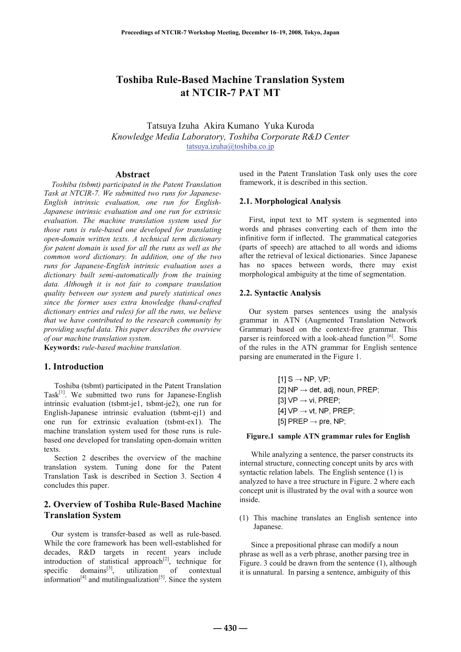# **Toshiba Rule-Based Machine Translation System at NTCIR-7 PAT MT**

Tatsuya Izuha Akira Kumano Yuka Kuroda *Knowledge Media Laboratory, Toshiba Corporate R&D Center*  tatsuya.izuha@toshiba.co.jp

#### **Abstract**

*Toshiba (tsbmt) participated in the Patent Translation Task at NTCIR-7. We submitted two runs for Japanese-English intrinsic evaluation, one run for English-Japanese intrinsic evaluation and one run for extrinsic evaluation. The machine translation system used for those runs is rule-based one developed for translating open-domain written texts. A technical term dictionary for patent domain is used for all the runs as well as the common word dictionary. In addition, one of the two runs for Japanese-English intrinsic evaluation uses a dictionary built semi-automatically from the training data. Although it is not fair to compare translation quality between our system and purely statistical ones since the former uses extra knowledge (hand-crafted dictionary entries and rules) for all the runs, we believe that we have contributed to the research community by providing useful data. This paper describes the overview of our machine translation system.* 

**Keywords:** *rule-based machine translation.*

# **1. Introduction**

Toshiba (tsbmt) participated in the Patent Translation Task[1]. We submitted two runs for Japanese-English intrinsic evaluation (tsbmt-je1, tsbmt-je2), one run for English-Japanese intrinsic evaluation (tsbmt-ej1) and one run for extrinsic evaluation (tsbmt-ex1). The machine translation system used for those runs is rulebased one developed for translating open-domain written texts.

Section 2 describes the overview of the machine translation system. Tuning done for the Patent Translation Task is described in Section 3. Section 4 concludes this paper.

# **2. Overview of Toshiba Rule-Based Machine Translation System**

Our system is transfer-based as well as rule-based. While the core framework has been well-established for decades, R&D targets in recent years include introduction of statistical approach<sup>[2]</sup>, technique for specific domains<sup>[3]</sup>, utilization of contextual information<sup>[4]</sup> and mutilingualization<sup>[5]</sup>. Since the system

used in the Patent Translation Task only uses the core framework, it is described in this section.

## **2.1. Morphological Analysis**

First, input text to MT system is segmented into words and phrases converting each of them into the infinitive form if inflected. The grammatical categories (parts of speech) are attached to all words and idioms after the retrieval of lexical dictionaries. Since Japanese has no spaces between words, there may exist morphological ambiguity at the time of segmentation.

### **2.2. Syntactic Analysis**

Our system parses sentences using the analysis grammar in ATN (Augmented Translation Network Grammar) based on the context-free grammar. This parser is reinforced with a look-ahead function [6]. Some of the rules in the ATN grammar for English sentence parsing are enumerated in the Figure 1.

> $[1]$  S  $\rightarrow$  NP, VP; [2]  $NP \rightarrow det$ , adj, noun, PREP; [3]  $VP \rightarrow vi$ , PREP; [4]  $VP \rightarrow vt$ , NP, PREP; [5] PREP  $\rightarrow$  pre, NP;

### **Figure.1 sample ATN grammar rules for English**

While analyzing a sentence, the parser constructs its internal structure, connecting concept units by arcs with syntactic relation labels. The English sentence (1) is analyzed to have a tree structure in Figure. 2 where each concept unit is illustrated by the oval with a source won inside.

(1) This machine translates an English sentence into Japanese.

Since a prepositional phrase can modify a noun phrase as well as a verb phrase, another parsing tree in Figure. 3 could be drawn from the sentence (1), although it is unnatural. In parsing a sentence, ambiguity of this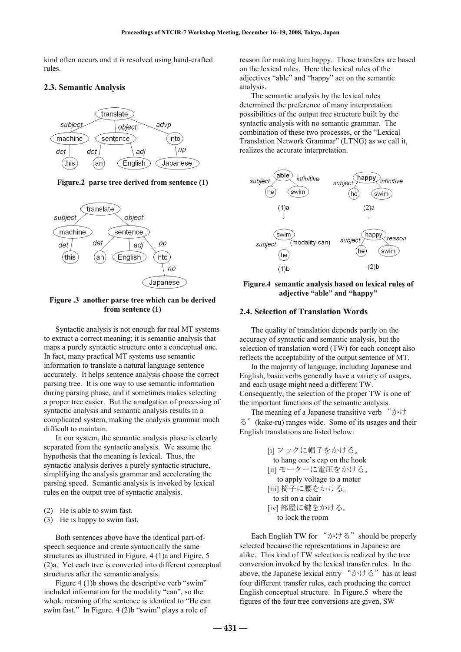kind often occurs and it is resolved using hand-crafted rules.

# **2.3. Semantic Analysis**



# **Figure.2 parse tree derived from sentence (1)**



**Figure .3 another parse tree which can be derived from sentence (1)** 

Syntactic analysis is not enough for real MT systems to extract a correct meaning; it is semantic analysis that maps a purely syntactic structure onto a conceptual one. In fact, many practical MT systems use semantic information to translate a natural language sentence accurately. It helps sentence analysis choose the correct parsing tree. It is one way to use semantic information during parsing phase, and it sometimes makes selecting a proper tree easier. But the amalgation of processing of syntactic analysis and semantic analysis results in a complicated system, making the analysis grammar much difficult to maintain.

In our system, the semantic analysis phase is clearly separated from the syntactic analysis. We assume the hypothesis that the meaning is lexical. Thus, the syntactic analysis derives a purely syntactic structure, simplifying the analysis grammar and accelerating the parsing speed. Semantic analysis is invoked by lexical rules on the output tree of syntactic analysis.

- (2) He is able to swim fast.
- (3) He is happy to swim fast.

Both sentences above have the identical part-ofspeech sequence and create syntactically the same structures as illustrated in Figure. 4 (1)a and Figire. 5 (2)a. Yet each tree is converted into different conceptual structures after the semantic analysis.

Figure 4 (1) b shows the descriptive verb "swim" included information for the modality "can", so the whole meaning of the sentence is identical to "He can swim fast." In Figure. 4 (2)b "swim" plays a role of

reason for making him happy. Those transfers are based on the lexical rules. Here the lexical rules of the adjectives "able" and "happy" act on the semantic analysis.

The semantic analysis by the lexical rules determined the preference of many interpretation possibilities of the output tree structure built by the syntactic analysis with no semantic grammar. The combination of these two processes, or the "Lexical Translation Network Grammar" (LTNG) as we call it, realizes the accurate interpretation.



**Figure.4 semantic analysis based on lexical rules of adjective "able" and "happy"** 

# **2.4. Selection of Translation Words**

The quality of translation depends partly on the accuracy of syntactic and semantic analysis, but the selection of translation word (TW) for each concept also reflects the acceptability of the output sentence of MT.

In the majority of language, including Japanese and English, basic verbs generally have a variety of usages, and each usage might need a different TW. Consequently, the selection of the proper TW is one of the important functions of the semantic analysis.

The meaning of a Japanese transitive verb "かけ る"(kake-ru) ranges wide. Some of its usages and their English translations are listed below:

> [i] フックに帽子をかける。 to hang one's cap on the hook [ii] モーターに電圧をかける。 to apply voltage to a moter [iii] 椅子に腰をかける。 to sit on a chair [iv] 部屋に鍵をかける。 to lock the room

Each English TW for " $\forall$ <sup>+</sup> $\forall$ <sup>+</sup> $\leq$ " should be properly selected because the representations in Japanese are alike. This kind of TW selection is realized by the tree conversion invoked by the lexical transfer rules. In the above, the Japanese lexical entry " $\psi \uplus \Diamond$ " has at least four different transfer rules, each producing the correct English conceptual structure. In Figure.5 where the figures of the four tree conversions are given, SW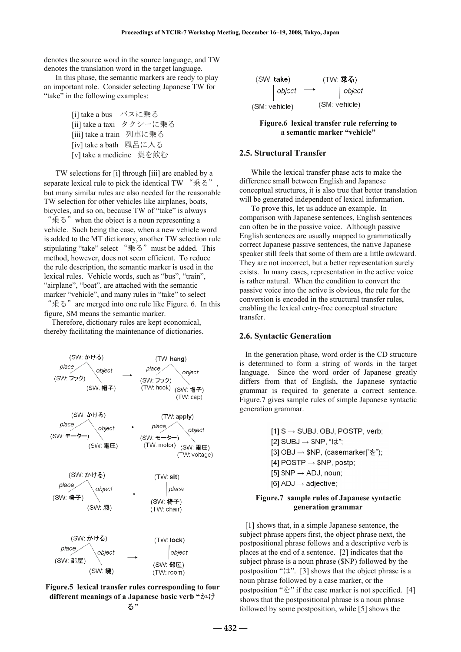denotes the source word in the source language, and TW denotes the translation word in the target language.

In this phase, the semantic markers are ready to play an important role. Consider selecting Japanese TW for "take" in the following examples:

```
 [i] take a bus バスに乗る
[ii] take a taxi タクシーに乗る
[iii] take a train 列車に乗る
[iv] take a bath 風呂に入る
[v] take a medicine 薬を飲む
```
TW selections for [i] through [iii] are enabled by a separate lexical rule to pick the identical TW "乗る" but many similar rules are also needed for the reasonable TW selection for other vehicles like airplanes, boats, bicycles, and so on, because TW of "take" is always "乗る"when the object is a noun representing a vehicle. Such being the case, when a new vehicle word is added to the MT dictionary, another TW selection rule stipulating "take" select "乗る"must be added. This method, however, does not seem efficient. To reduce the rule description, the semantic marker is used in the lexical rules. Vehicle words, such as "bus", "train", "airplane", "boat", are attached with the semantic marker "vehicle", and many rules in "take" to select "乗る"are merged into one rule like Figure. 6. In this

figure, SM means the semantic marker. Therefore, dictionary rules are kept economical,

thereby facilitating the maintenance of dictionaries.





| (SW take)     |                | (TW: 乗る)      |                |
|---------------|----------------|---------------|----------------|
|               | $\vert$ object |               | $\big $ object |
| (SM: vehicle) |                | (SM: vehicle) |                |

**Figure.6 lexical transfer rule referring to a semantic marker "vehicle"** 

### **2.5. Structural Transfer**

While the lexical transfer phase acts to make the difference small between English and Japanese conceptual structures, it is also true that better translation will be generated independent of lexical information.

To prove this, let us adduce an example. In comparison with Japanese sentences, English sentences can often be in the passive voice. Although passive English sentences are usually mapped to grammatically correct Japanese passive sentences, the native Japanese speaker still feels that some of them are a little awkward. They are not incorrect, but a better representation surely exists. In many cases, representation in the active voice is rather natural. When the condition to convert the passive voice into the active is obvious, the rule for the conversion is encoded in the structural transfer rules, enabling the lexical entry-free conceptual structure transfer.

# **2.6. Syntactic Generation**

In the generation phase, word order is the CD structure is determined to form a string of words in the target language. Since the word order of Japanese greatly differs from that of English, the Japanese syntactic grammar is required to generate a correct sentence. Figure.7 gives sample rules of simple Japanese syntactic generation grammar.

> $[1]$  S  $\rightarrow$  SUBJ, OBJ, POSTP, verb; [2] SUBJ  $\rightarrow$  \$NP, " $\vert \downarrow \rangle$ "; [3] OBJ  $\rightarrow$  \$NP, (casemarker]" $\&$ "); [4] POSTP  $\rightarrow$  \$NP, postp; [5]  $NP \rightarrow ADJ$ , noun; [6] ADJ  $\rightarrow$  adjective;

# **Figure.7 sample rules of Japanese syntactic generation grammar**

[1] shows that, in a simple Japanese sentence, the subject phrase appers first, the object phrase next, the postpositional phrase follows and a descriptive verb is places at the end of a sentence. [2] indicates that the subject phrase is a noun phrase (\$NP) followed by the postposition " $\forall$ : [3] shows that the object phrase is a noun phrase followed by a case marker, or the postposition " $\&$ " if the case marker is not specified. [4] shows that the postpositional phrase is a noun phrase followed by some postposition, while [5] shows the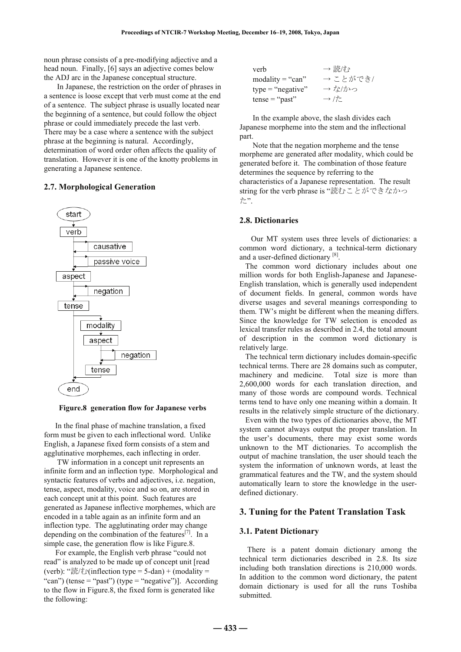noun phrase consists of a pre-modifying adjective and a head noun. Finally, [6] says an adjective comes below the ADJ arc in the Japanese conceptual structure.

In Japanese, the restriction on the order of phrases in a sentence is loose except that verb must come at the end of a sentence. The subject phrase is usually located near the beginning of a sentence, but could follow the object phrase or could immediately precede the last verb. There may be a case where a sentence with the subject phrase at the beginning is natural. Accordingly, determination of word order often affects the quality of translation. However it is one of the knotty problems in generating a Japanese sentence.

### **2.7. Morphological Generation**



#### **Figure.8 generation flow for Japanese verbs**

In the final phase of machine translation, a fixed form must be given to each inflectional word. Unlike English, a Japanese fixed form consists of a stem and agglutinative morphemes, each inflecting in order.

TW information in a concept unit represents an infinite form and an inflection type. Morphological and syntactic features of verbs and adjectives, i.e. negation, tense, aspect, modality, voice and so on, are stored in each concept unit at this point. Such features are generated as Japanese inflective morphemes, which are encoded in a table again as an infinite form and an inflection type. The agglutinating order may change depending on the combination of the features $[7]$ . In a simple case, the generation flow is like Figure.8.

For example, the English verb phrase "could not read" is analyzed to be made up of concept unit [read (verb): "読/む(inflection type = 5-dan) + (modality = "can") (tense = "past") (type = "negative")]. According to the flow in Figure.8, the fixed form is generated like the following:

| verb                | → 読/む            |
|---------------------|------------------|
| $modality = "can"$  | →ことができ/          |
| $type = "negative"$ | → な/かっ           |
| $tense = "past"$    | $\rightarrow$ /た |

In the example above, the slash divides each Japanese morpheme into the stem and the inflectional part.

Note that the negation morpheme and the tense morpheme are generated after modality, which could be generated before it. The combination of those feature determines the sequence by referring to the characteristics of a Japanese representation. The result string for the verb phrase is "読むことができなかっ た".

### **2.8. Dictionaries**

Our MT system uses three levels of dictionaries: a common word dictionary, a technical-term dictionary and a user-defined dictionary [8].

 The common word dictionary includes about one million words for both English-Japanese and Japanese-English translation, which is generally used independent of document fields. In general, common words have diverse usages and several meanings corresponding to them. TW's might be different when the meaning differs. Since the knowledge for TW selection is encoded as lexical transfer rules as described in 2.4, the total amount of description in the common word dictionary is relatively large.

 The technical term dictionary includes domain-specific technical terms. There are 28 domains such as computer, machinery and medicine. Total size is more than 2,600,000 words for each translation direction, and many of those words are compound words. Technical terms tend to have only one meaning within a domain. It results in the relatively simple structure of the dictionary.

 Even with the two types of dictionaries above, the MT system cannot always output the proper translation. In the user's documents, there may exist some words unknown to the MT dictionaries. To accomplish the output of machine translation, the user should teach the system the information of unknown words, at least the grammatical features and the TW, and the system should automatically learn to store the knowledge in the userdefined dictionary.

# **3. Tuning for the Patent Translation Task**

### **3.1. Patent Dictionary**

 There is a patent domain dictionary among the technical term dictionaries described in 2.8. Its size including both translation directions is 210,000 words. In addition to the common word dictionary, the patent domain dictionary is used for all the runs Toshiba submitted.

**― 433 ―**